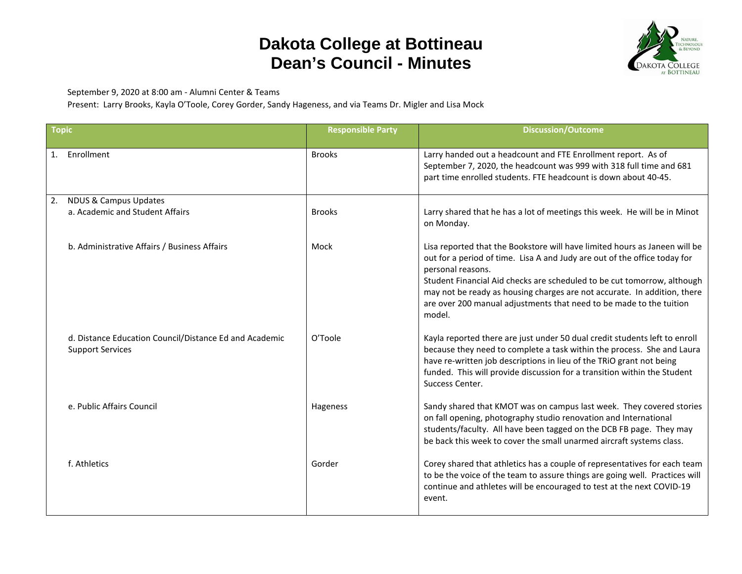## **Dakota College at Bottineau Dean's Council - Minutes**



September 9, 2020 at 8:00 am - Alumni Center & Teams

Present: Larry Brooks, Kayla O'Toole, Corey Gorder, Sandy Hageness, and via Teams Dr. Migler and Lisa Mock

| <b>Topic</b> |                                                                                   | <b>Responsible Party</b> | <b>Discussion/Outcome</b>                                                                                                                                                                                                                                                                                                                                                                                            |
|--------------|-----------------------------------------------------------------------------------|--------------------------|----------------------------------------------------------------------------------------------------------------------------------------------------------------------------------------------------------------------------------------------------------------------------------------------------------------------------------------------------------------------------------------------------------------------|
|              | 1. Enrollment                                                                     | <b>Brooks</b>            | Larry handed out a headcount and FTE Enrollment report. As of<br>September 7, 2020, the headcount was 999 with 318 full time and 681<br>part time enrolled students. FTE headcount is down about 40-45.                                                                                                                                                                                                              |
| 2.           | <b>NDUS &amp; Campus Updates</b>                                                  |                          |                                                                                                                                                                                                                                                                                                                                                                                                                      |
|              | a. Academic and Student Affairs                                                   | <b>Brooks</b>            | Larry shared that he has a lot of meetings this week. He will be in Minot<br>on Monday.                                                                                                                                                                                                                                                                                                                              |
|              | b. Administrative Affairs / Business Affairs                                      | Mock                     | Lisa reported that the Bookstore will have limited hours as Janeen will be<br>out for a period of time. Lisa A and Judy are out of the office today for<br>personal reasons.<br>Student Financial Aid checks are scheduled to be cut tomorrow, although<br>may not be ready as housing charges are not accurate. In addition, there<br>are over 200 manual adjustments that need to be made to the tuition<br>model. |
|              | d. Distance Education Council/Distance Ed and Academic<br><b>Support Services</b> | O'Toole                  | Kayla reported there are just under 50 dual credit students left to enroll<br>because they need to complete a task within the process. She and Laura<br>have re-written job descriptions in lieu of the TRiO grant not being<br>funded. This will provide discussion for a transition within the Student<br>Success Center.                                                                                          |
|              | e. Public Affairs Council                                                         | Hageness                 | Sandy shared that KMOT was on campus last week. They covered stories<br>on fall opening, photography studio renovation and International<br>students/faculty. All have been tagged on the DCB FB page. They may<br>be back this week to cover the small unarmed aircraft systems class.                                                                                                                              |
|              | f. Athletics                                                                      | Gorder                   | Corey shared that athletics has a couple of representatives for each team<br>to be the voice of the team to assure things are going well. Practices will<br>continue and athletes will be encouraged to test at the next COVID-19<br>event.                                                                                                                                                                          |